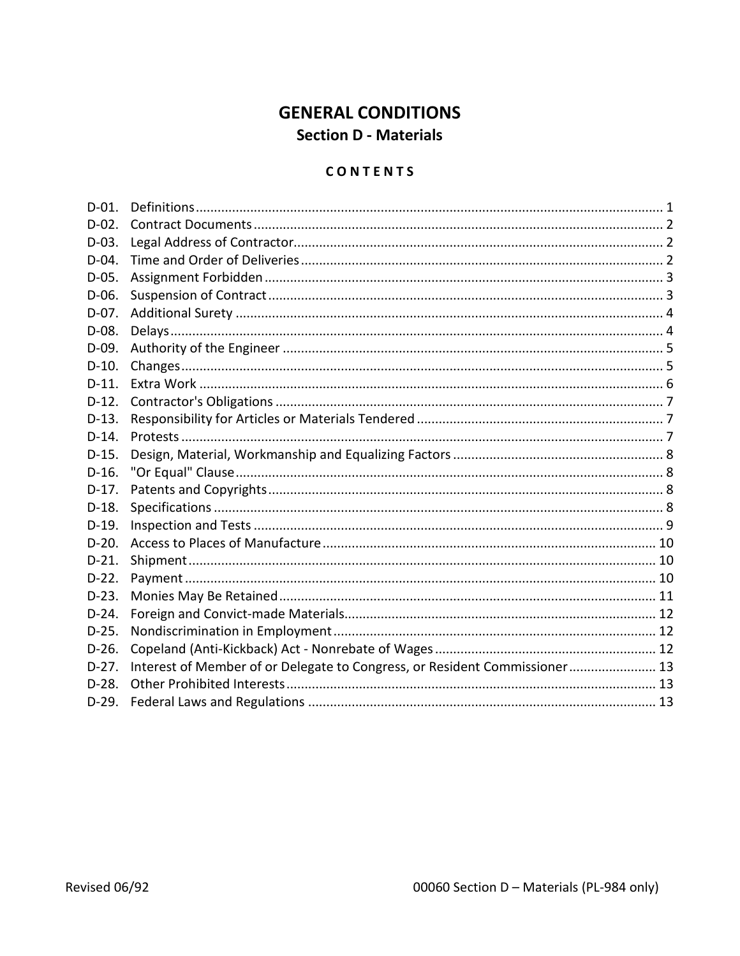# **GENERAL CONDITIONS Section D - Materials**

# CONTENTS

| $D-01.$ |                                                                            |  |
|---------|----------------------------------------------------------------------------|--|
| $D-02.$ |                                                                            |  |
| $D-03.$ |                                                                            |  |
| $D-04.$ |                                                                            |  |
| $D-05.$ |                                                                            |  |
| $D-06.$ |                                                                            |  |
| $D-07.$ |                                                                            |  |
| $D-08.$ |                                                                            |  |
| $D-09.$ |                                                                            |  |
| $D-10.$ |                                                                            |  |
| $D-11.$ |                                                                            |  |
| $D-12.$ |                                                                            |  |
| $D-13.$ |                                                                            |  |
| $D-14.$ |                                                                            |  |
| $D-15.$ |                                                                            |  |
| $D-16.$ |                                                                            |  |
| $D-17.$ |                                                                            |  |
| $D-18.$ |                                                                            |  |
| $D-19.$ |                                                                            |  |
| $D-20.$ |                                                                            |  |
| $D-21.$ |                                                                            |  |
| $D-22.$ |                                                                            |  |
| $D-23.$ |                                                                            |  |
| $D-24.$ |                                                                            |  |
| $D-25.$ |                                                                            |  |
| $D-26.$ |                                                                            |  |
| $D-27.$ | Interest of Member of or Delegate to Congress, or Resident Commissioner 13 |  |
| $D-28.$ |                                                                            |  |
| $D-29.$ |                                                                            |  |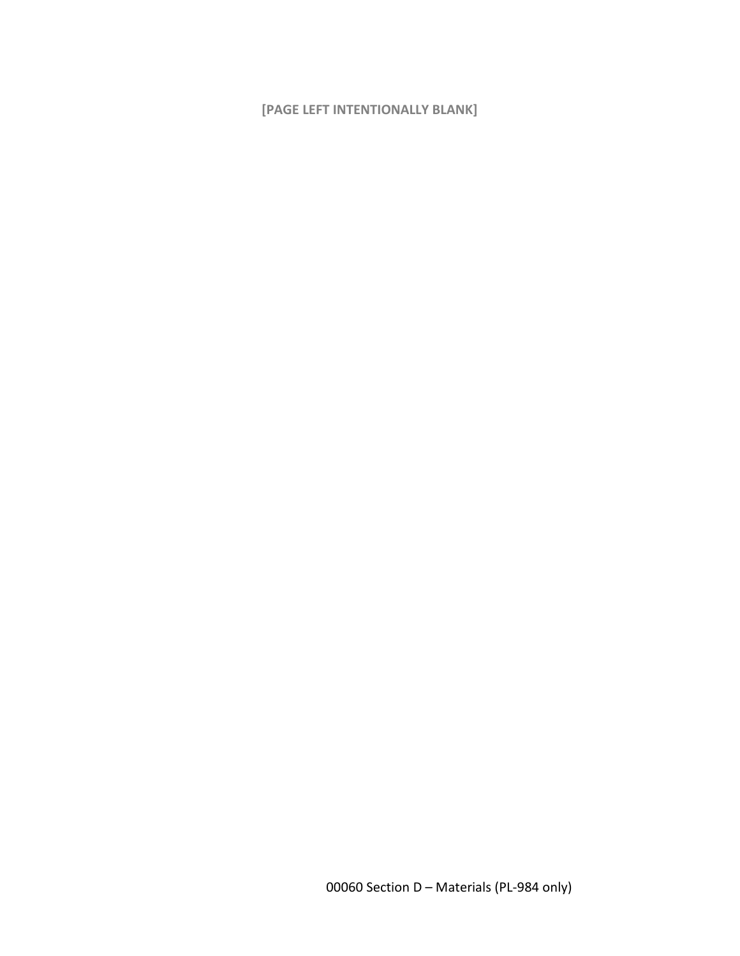# **[PAGE LEFT INTENTIONALLY BLANK]**

00060 Section D – Materials (PL-984 only)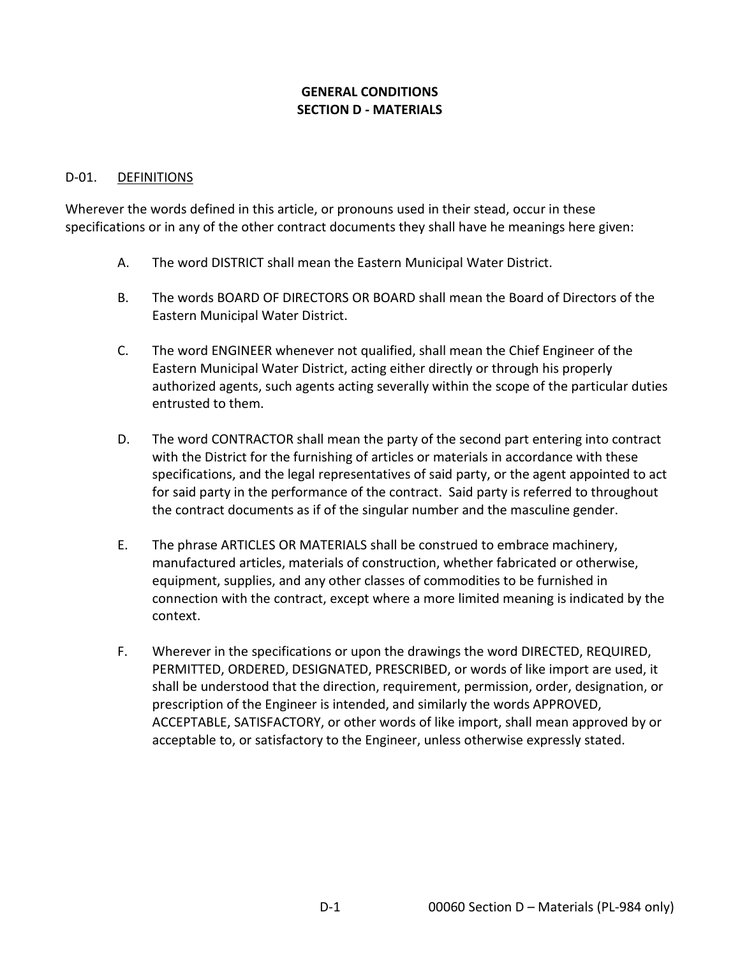#### **GENERAL CONDITIONS SECTION D - MATERIALS**

#### <span id="page-2-0"></span>D-01. DEFINITIONS

Wherever the words defined in this article, or pronouns used in their stead, occur in these specifications or in any of the other contract documents they shall have he meanings here given:

- A. The word DISTRICT shall mean the Eastern Municipal Water District.
- B. The words BOARD OF DIRECTORS OR BOARD shall mean the Board of Directors of the Eastern Municipal Water District.
- C. The word ENGINEER whenever not qualified, shall mean the Chief Engineer of the Eastern Municipal Water District, acting either directly or through his properly authorized agents, such agents acting severally within the scope of the particular duties entrusted to them.
- D. The word CONTRACTOR shall mean the party of the second part entering into contract with the District for the furnishing of articles or materials in accordance with these specifications, and the legal representatives of said party, or the agent appointed to act for said party in the performance of the contract. Said party is referred to throughout the contract documents as if of the singular number and the masculine gender.
- E. The phrase ARTICLES OR MATERIALS shall be construed to embrace machinery, manufactured articles, materials of construction, whether fabricated or otherwise, equipment, supplies, and any other classes of commodities to be furnished in connection with the contract, except where a more limited meaning is indicated by the context.
- F. Wherever in the specifications or upon the drawings the word DIRECTED, REQUIRED, PERMITTED, ORDERED, DESIGNATED, PRESCRIBED, or words of like import are used, it shall be understood that the direction, requirement, permission, order, designation, or prescription of the Engineer is intended, and similarly the words APPROVED, ACCEPTABLE, SATISFACTORY, or other words of like import, shall mean approved by or acceptable to, or satisfactory to the Engineer, unless otherwise expressly stated.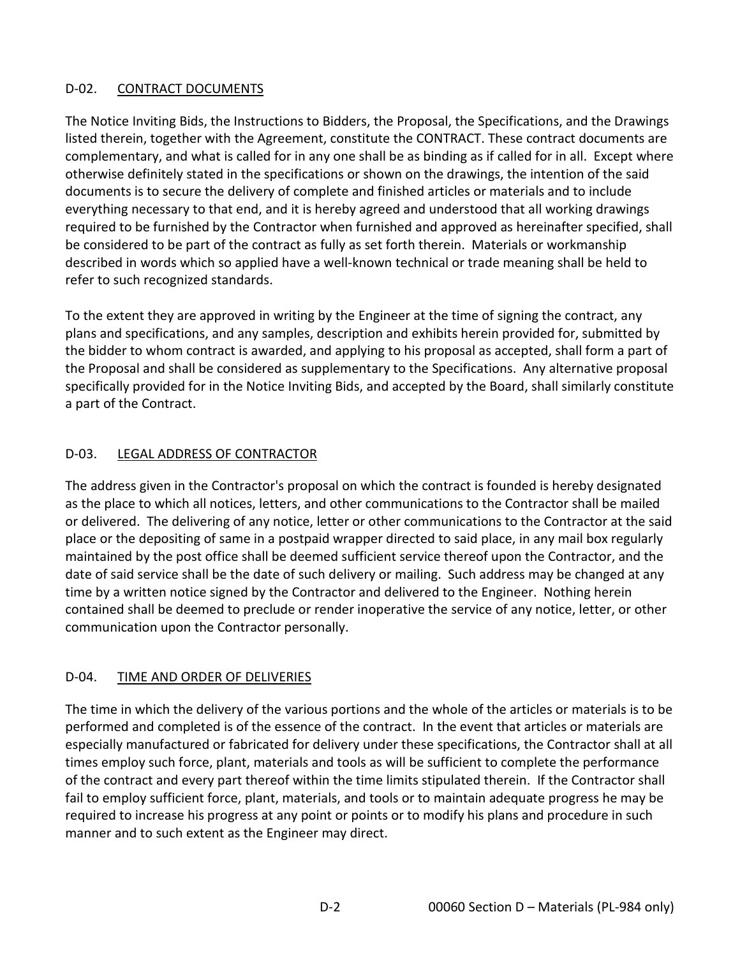## <span id="page-3-0"></span>D-02. CONTRACT DOCUMENTS

The Notice Inviting Bids, the Instructions to Bidders, the Proposal, the Specifications, and the Drawings listed therein, together with the Agreement, constitute the CONTRACT. These contract documents are complementary, and what is called for in any one shall be as binding as if called for in all. Except where otherwise definitely stated in the specifications or shown on the drawings, the intention of the said documents is to secure the delivery of complete and finished articles or materials and to include everything necessary to that end, and it is hereby agreed and understood that all working drawings required to be furnished by the Contractor when furnished and approved as hereinafter specified, shall be considered to be part of the contract as fully as set forth therein. Materials or workmanship described in words which so applied have a well-known technical or trade meaning shall be held to refer to such recognized standards.

To the extent they are approved in writing by the Engineer at the time of signing the contract, any plans and specifications, and any samples, description and exhibits herein provided for, submitted by the bidder to whom contract is awarded, and applying to his proposal as accepted, shall form a part of the Proposal and shall be considered as supplementary to the Specifications. Any alternative proposal specifically provided for in the Notice Inviting Bids, and accepted by the Board, shall similarly constitute a part of the Contract.

# <span id="page-3-1"></span>D-03. LEGAL ADDRESS OF CONTRACTOR

The address given in the Contractor's proposal on which the contract is founded is hereby designated as the place to which all notices, letters, and other communications to the Contractor shall be mailed or delivered. The delivering of any notice, letter or other communications to the Contractor at the said place or the depositing of same in a postpaid wrapper directed to said place, in any mail box regularly maintained by the post office shall be deemed sufficient service thereof upon the Contractor, and the date of said service shall be the date of such delivery or mailing. Such address may be changed at any time by a written notice signed by the Contractor and delivered to the Engineer. Nothing herein contained shall be deemed to preclude or render inoperative the service of any notice, letter, or other communication upon the Contractor personally.

# <span id="page-3-2"></span>D-04. TIME AND ORDER OF DELIVERIES

The time in which the delivery of the various portions and the whole of the articles or materials is to be performed and completed is of the essence of the contract. In the event that articles or materials are especially manufactured or fabricated for delivery under these specifications, the Contractor shall at all times employ such force, plant, materials and tools as will be sufficient to complete the performance of the contract and every part thereof within the time limits stipulated therein. If the Contractor shall fail to employ sufficient force, plant, materials, and tools or to maintain adequate progress he may be required to increase his progress at any point or points or to modify his plans and procedure in such manner and to such extent as the Engineer may direct.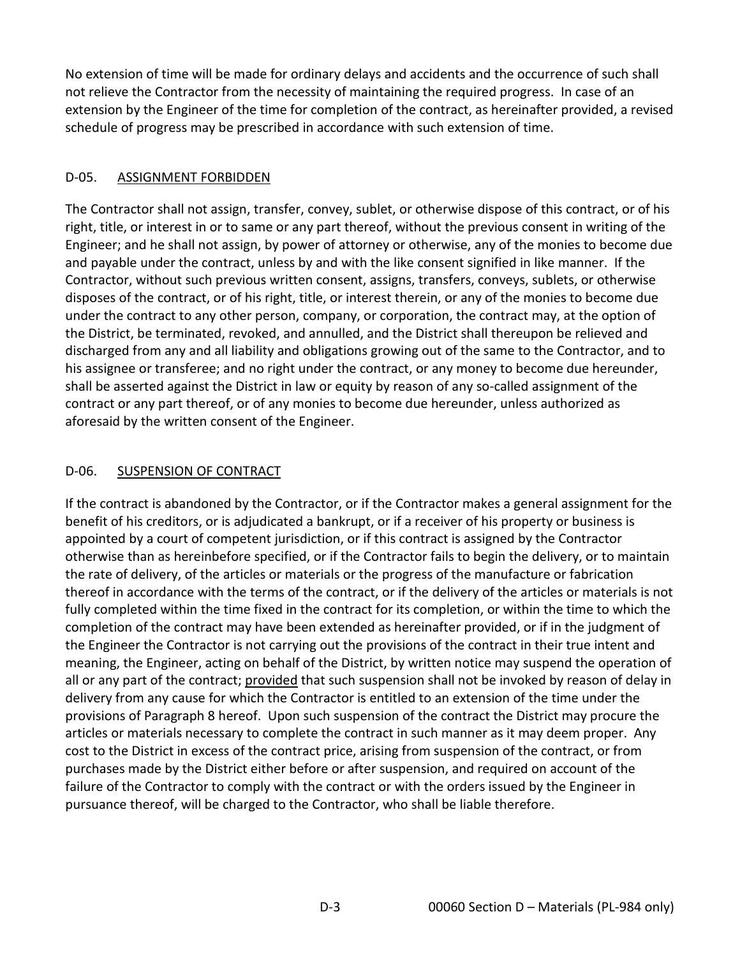No extension of time will be made for ordinary delays and accidents and the occurrence of such shall not relieve the Contractor from the necessity of maintaining the required progress. In case of an extension by the Engineer of the time for completion of the contract, as hereinafter provided, a revised schedule of progress may be prescribed in accordance with such extension of time.

#### <span id="page-4-0"></span>D-05. ASSIGNMENT FORBIDDEN

The Contractor shall not assign, transfer, convey, sublet, or otherwise dispose of this contract, or of his right, title, or interest in or to same or any part thereof, without the previous consent in writing of the Engineer; and he shall not assign, by power of attorney or otherwise, any of the monies to become due and payable under the contract, unless by and with the like consent signified in like manner. If the Contractor, without such previous written consent, assigns, transfers, conveys, sublets, or otherwise disposes of the contract, or of his right, title, or interest therein, or any of the monies to become due under the contract to any other person, company, or corporation, the contract may, at the option of the District, be terminated, revoked, and annulled, and the District shall thereupon be relieved and discharged from any and all liability and obligations growing out of the same to the Contractor, and to his assignee or transferee; and no right under the contract, or any money to become due hereunder, shall be asserted against the District in law or equity by reason of any so-called assignment of the contract or any part thereof, or of any monies to become due hereunder, unless authorized as aforesaid by the written consent of the Engineer.

#### <span id="page-4-1"></span>D-06. SUSPENSION OF CONTRACT

If the contract is abandoned by the Contractor, or if the Contractor makes a general assignment for the benefit of his creditors, or is adjudicated a bankrupt, or if a receiver of his property or business is appointed by a court of competent jurisdiction, or if this contract is assigned by the Contractor otherwise than as hereinbefore specified, or if the Contractor fails to begin the delivery, or to maintain the rate of delivery, of the articles or materials or the progress of the manufacture or fabrication thereof in accordance with the terms of the contract, or if the delivery of the articles or materials is not fully completed within the time fixed in the contract for its completion, or within the time to which the completion of the contract may have been extended as hereinafter provided, or if in the judgment of the Engineer the Contractor is not carrying out the provisions of the contract in their true intent and meaning, the Engineer, acting on behalf of the District, by written notice may suspend the operation of all or any part of the contract; provided that such suspension shall not be invoked by reason of delay in delivery from any cause for which the Contractor is entitled to an extension of the time under the provisions of Paragraph 8 hereof. Upon such suspension of the contract the District may procure the articles or materials necessary to complete the contract in such manner as it may deem proper. Any cost to the District in excess of the contract price, arising from suspension of the contract, or from purchases made by the District either before or after suspension, and required on account of the failure of the Contractor to comply with the contract or with the orders issued by the Engineer in pursuance thereof, will be charged to the Contractor, who shall be liable therefore.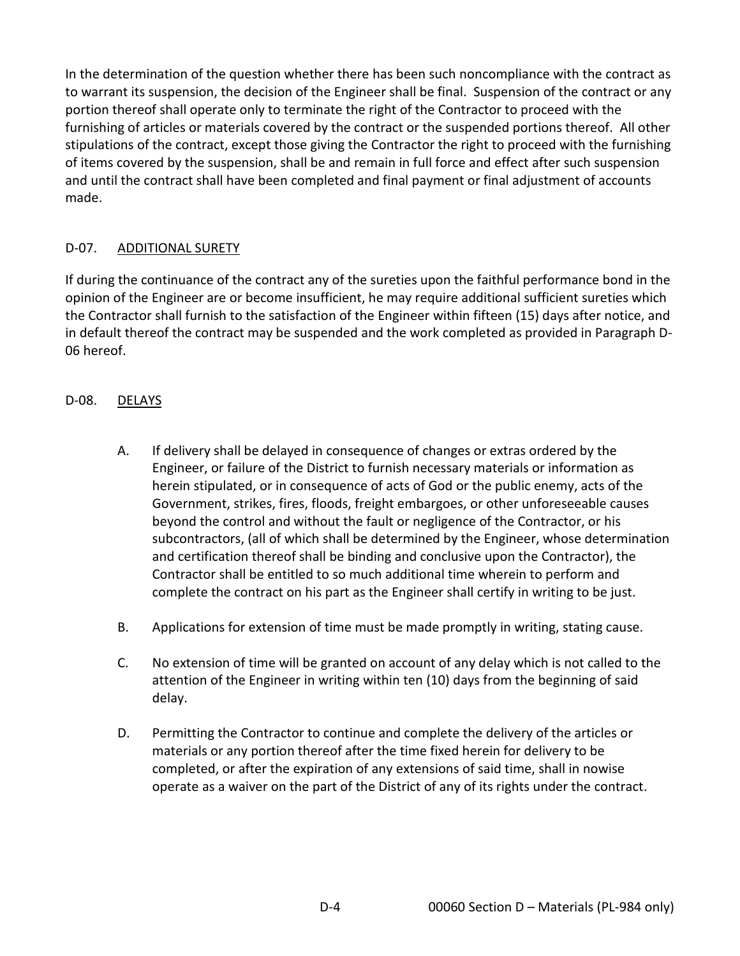In the determination of the question whether there has been such noncompliance with the contract as to warrant its suspension, the decision of the Engineer shall be final. Suspension of the contract or any portion thereof shall operate only to terminate the right of the Contractor to proceed with the furnishing of articles or materials covered by the contract or the suspended portions thereof. All other stipulations of the contract, except those giving the Contractor the right to proceed with the furnishing of items covered by the suspension, shall be and remain in full force and effect after such suspension and until the contract shall have been completed and final payment or final adjustment of accounts made.

#### <span id="page-5-0"></span>D-07. ADDITIONAL SURETY

If during the continuance of the contract any of the sureties upon the faithful performance bond in the opinion of the Engineer are or become insufficient, he may require additional sufficient sureties which the Contractor shall furnish to the satisfaction of the Engineer within fifteen (15) days after notice, and in default thereof the contract may be suspended and the work completed as provided in Paragraph D-06 hereof.

# <span id="page-5-1"></span>D-08. DELAYS

- A. If delivery shall be delayed in consequence of changes or extras ordered by the Engineer, or failure of the District to furnish necessary materials or information as herein stipulated, or in consequence of acts of God or the public enemy, acts of the Government, strikes, fires, floods, freight embargoes, or other unforeseeable causes beyond the control and without the fault or negligence of the Contractor, or his subcontractors, (all of which shall be determined by the Engineer, whose determination and certification thereof shall be binding and conclusive upon the Contractor), the Contractor shall be entitled to so much additional time wherein to perform and complete the contract on his part as the Engineer shall certify in writing to be just.
- B. Applications for extension of time must be made promptly in writing, stating cause.
- C. No extension of time will be granted on account of any delay which is not called to the attention of the Engineer in writing within ten (10) days from the beginning of said delay.
- D. Permitting the Contractor to continue and complete the delivery of the articles or materials or any portion thereof after the time fixed herein for delivery to be completed, or after the expiration of any extensions of said time, shall in nowise operate as a waiver on the part of the District of any of its rights under the contract.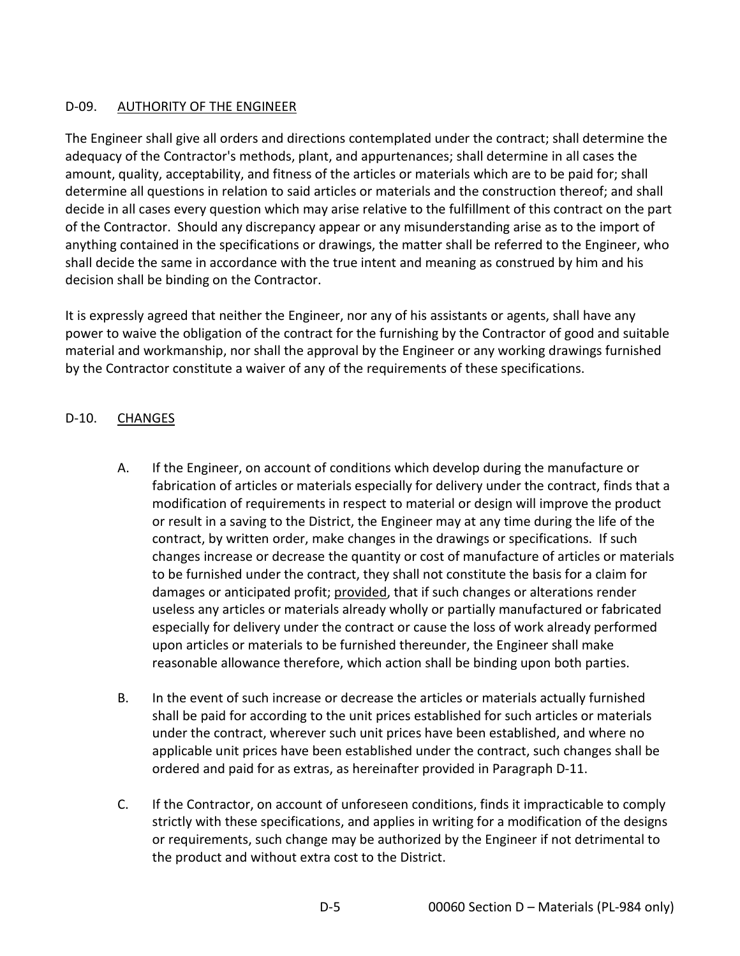#### <span id="page-6-0"></span>D-09. AUTHORITY OF THE ENGINEER

The Engineer shall give all orders and directions contemplated under the contract; shall determine the adequacy of the Contractor's methods, plant, and appurtenances; shall determine in all cases the amount, quality, acceptability, and fitness of the articles or materials which are to be paid for; shall determine all questions in relation to said articles or materials and the construction thereof; and shall decide in all cases every question which may arise relative to the fulfillment of this contract on the part of the Contractor. Should any discrepancy appear or any misunderstanding arise as to the import of anything contained in the specifications or drawings, the matter shall be referred to the Engineer, who shall decide the same in accordance with the true intent and meaning as construed by him and his decision shall be binding on the Contractor.

It is expressly agreed that neither the Engineer, nor any of his assistants or agents, shall have any power to waive the obligation of the contract for the furnishing by the Contractor of good and suitable material and workmanship, nor shall the approval by the Engineer or any working drawings furnished by the Contractor constitute a waiver of any of the requirements of these specifications.

# <span id="page-6-1"></span>D-10. CHANGES

- A. If the Engineer, on account of conditions which develop during the manufacture or fabrication of articles or materials especially for delivery under the contract, finds that a modification of requirements in respect to material or design will improve the product or result in a saving to the District, the Engineer may at any time during the life of the contract, by written order, make changes in the drawings or specifications. If such changes increase or decrease the quantity or cost of manufacture of articles or materials to be furnished under the contract, they shall not constitute the basis for a claim for damages or anticipated profit; provided, that if such changes or alterations render useless any articles or materials already wholly or partially manufactured or fabricated especially for delivery under the contract or cause the loss of work already performed upon articles or materials to be furnished thereunder, the Engineer shall make reasonable allowance therefore, which action shall be binding upon both parties.
- B. In the event of such increase or decrease the articles or materials actually furnished shall be paid for according to the unit prices established for such articles or materials under the contract, wherever such unit prices have been established, and where no applicable unit prices have been established under the contract, such changes shall be ordered and paid for as extras, as hereinafter provided in Paragraph D-11.
- C. If the Contractor, on account of unforeseen conditions, finds it impracticable to comply strictly with these specifications, and applies in writing for a modification of the designs or requirements, such change may be authorized by the Engineer if not detrimental to the product and without extra cost to the District.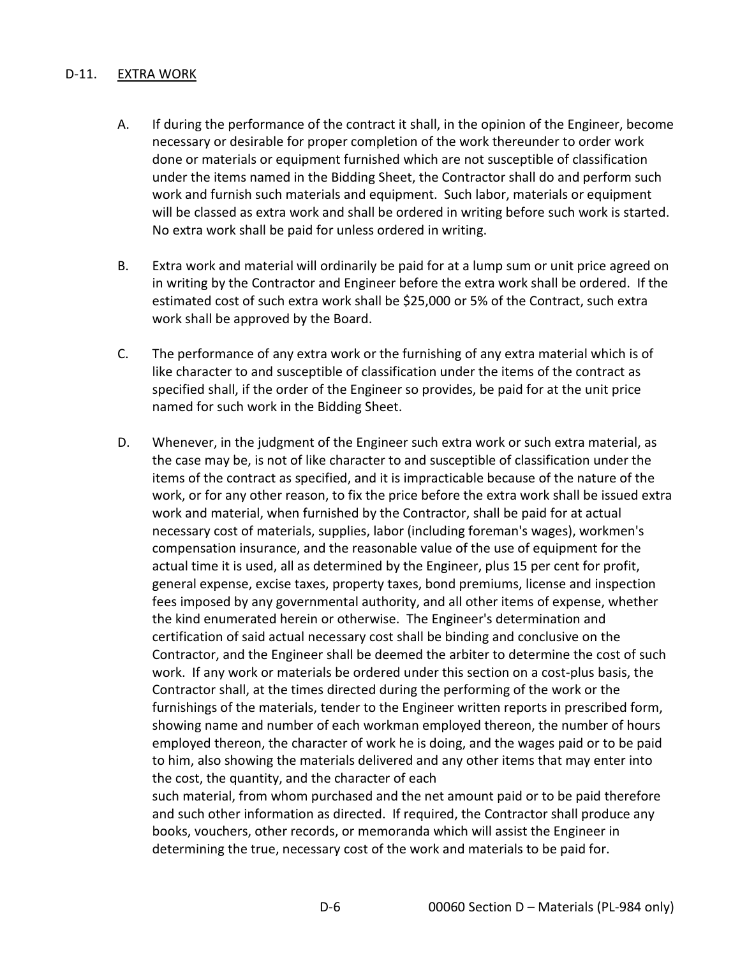#### <span id="page-7-0"></span>D-11. EXTRA WORK

- A. If during the performance of the contract it shall, in the opinion of the Engineer, become necessary or desirable for proper completion of the work thereunder to order work done or materials or equipment furnished which are not susceptible of classification under the items named in the Bidding Sheet, the Contractor shall do and perform such work and furnish such materials and equipment. Such labor, materials or equipment will be classed as extra work and shall be ordered in writing before such work is started. No extra work shall be paid for unless ordered in writing.
- B. Extra work and material will ordinarily be paid for at a lump sum or unit price agreed on in writing by the Contractor and Engineer before the extra work shall be ordered. If the estimated cost of such extra work shall be \$25,000 or 5% of the Contract, such extra work shall be approved by the Board.
- C. The performance of any extra work or the furnishing of any extra material which is of like character to and susceptible of classification under the items of the contract as specified shall, if the order of the Engineer so provides, be paid for at the unit price named for such work in the Bidding Sheet.
- D. Whenever, in the judgment of the Engineer such extra work or such extra material, as the case may be, is not of like character to and susceptible of classification under the items of the contract as specified, and it is impracticable because of the nature of the work, or for any other reason, to fix the price before the extra work shall be issued extra work and material, when furnished by the Contractor, shall be paid for at actual necessary cost of materials, supplies, labor (including foreman's wages), workmen's compensation insurance, and the reasonable value of the use of equipment for the actual time it is used, all as determined by the Engineer, plus 15 per cent for profit, general expense, excise taxes, property taxes, bond premiums, license and inspection fees imposed by any governmental authority, and all other items of expense, whether the kind enumerated herein or otherwise. The Engineer's determination and certification of said actual necessary cost shall be binding and conclusive on the Contractor, and the Engineer shall be deemed the arbiter to determine the cost of such work. If any work or materials be ordered under this section on a cost-plus basis, the Contractor shall, at the times directed during the performing of the work or the furnishings of the materials, tender to the Engineer written reports in prescribed form, showing name and number of each workman employed thereon, the number of hours employed thereon, the character of work he is doing, and the wages paid or to be paid to him, also showing the materials delivered and any other items that may enter into the cost, the quantity, and the character of each

such material, from whom purchased and the net amount paid or to be paid therefore and such other information as directed. If required, the Contractor shall produce any books, vouchers, other records, or memoranda which will assist the Engineer in determining the true, necessary cost of the work and materials to be paid for.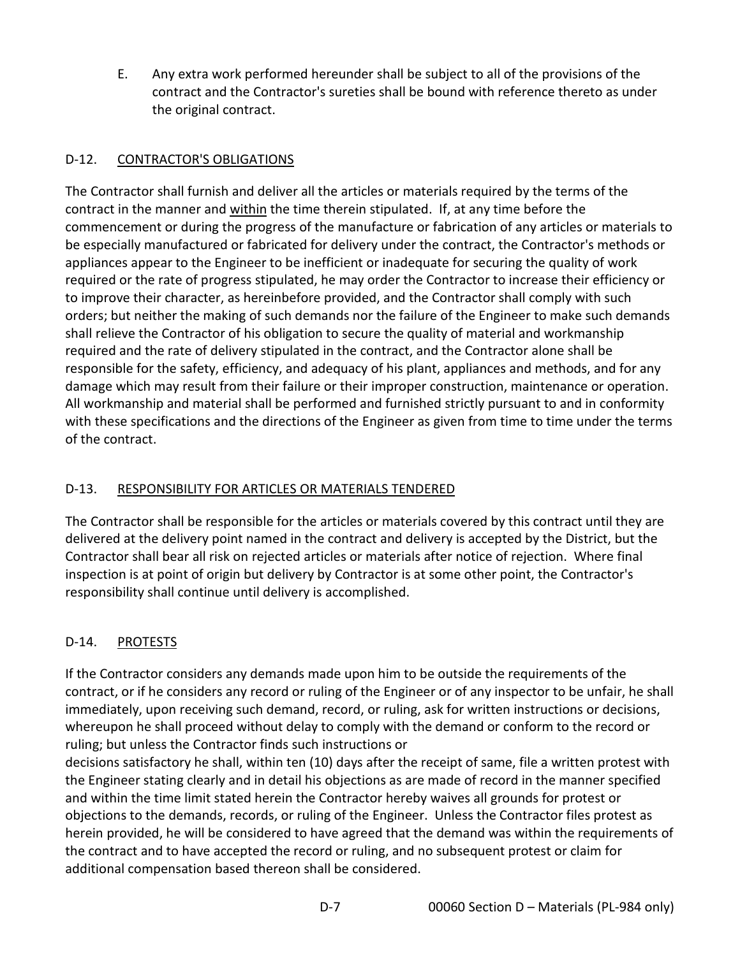E. Any extra work performed hereunder shall be subject to all of the provisions of the contract and the Contractor's sureties shall be bound with reference thereto as under the original contract.

# <span id="page-8-0"></span>D-12. CONTRACTOR'S OBLIGATIONS

The Contractor shall furnish and deliver all the articles or materials required by the terms of the contract in the manner and within the time therein stipulated. If, at any time before the commencement or during the progress of the manufacture or fabrication of any articles or materials to be especially manufactured or fabricated for delivery under the contract, the Contractor's methods or appliances appear to the Engineer to be inefficient or inadequate for securing the quality of work required or the rate of progress stipulated, he may order the Contractor to increase their efficiency or to improve their character, as hereinbefore provided, and the Contractor shall comply with such orders; but neither the making of such demands nor the failure of the Engineer to make such demands shall relieve the Contractor of his obligation to secure the quality of material and workmanship required and the rate of delivery stipulated in the contract, and the Contractor alone shall be responsible for the safety, efficiency, and adequacy of his plant, appliances and methods, and for any damage which may result from their failure or their improper construction, maintenance or operation. All workmanship and material shall be performed and furnished strictly pursuant to and in conformity with these specifications and the directions of the Engineer as given from time to time under the terms of the contract.

# <span id="page-8-1"></span>D-13. RESPONSIBILITY FOR ARTICLES OR MATERIALS TENDERED

The Contractor shall be responsible for the articles or materials covered by this contract until they are delivered at the delivery point named in the contract and delivery is accepted by the District, but the Contractor shall bear all risk on rejected articles or materials after notice of rejection. Where final inspection is at point of origin but delivery by Contractor is at some other point, the Contractor's responsibility shall continue until delivery is accomplished.

# <span id="page-8-2"></span>D-14. PROTESTS

If the Contractor considers any demands made upon him to be outside the requirements of the contract, or if he considers any record or ruling of the Engineer or of any inspector to be unfair, he shall immediately, upon receiving such demand, record, or ruling, ask for written instructions or decisions, whereupon he shall proceed without delay to comply with the demand or conform to the record or ruling; but unless the Contractor finds such instructions or

decisions satisfactory he shall, within ten (10) days after the receipt of same, file a written protest with the Engineer stating clearly and in detail his objections as are made of record in the manner specified and within the time limit stated herein the Contractor hereby waives all grounds for protest or objections to the demands, records, or ruling of the Engineer. Unless the Contractor files protest as herein provided, he will be considered to have agreed that the demand was within the requirements of the contract and to have accepted the record or ruling, and no subsequent protest or claim for additional compensation based thereon shall be considered.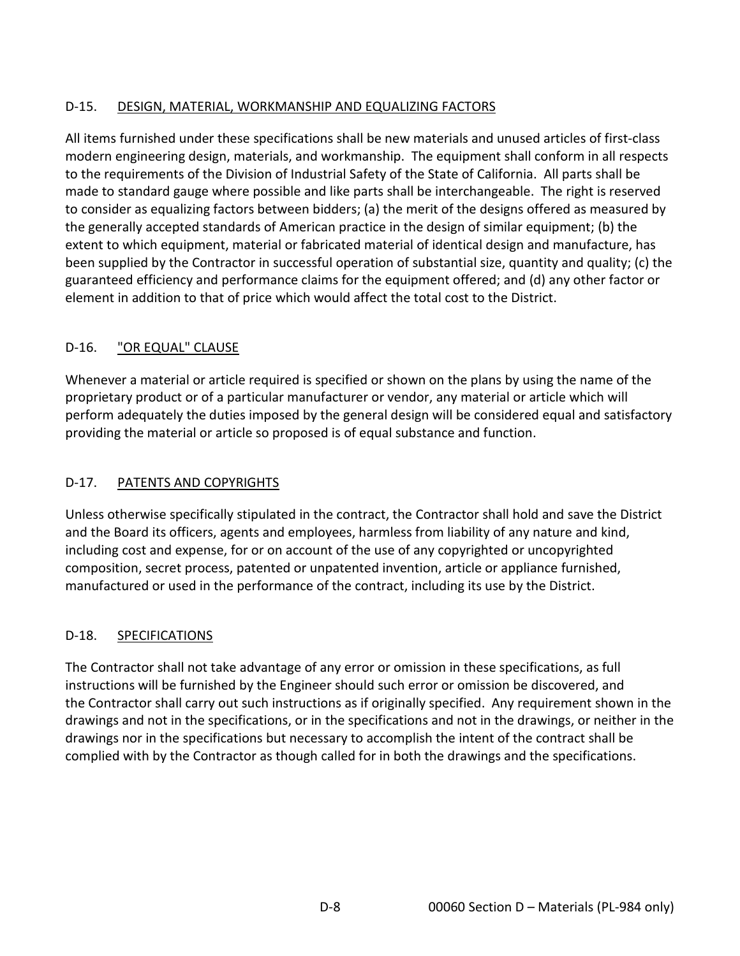## <span id="page-9-0"></span>D-15. DESIGN, MATERIAL, WORKMANSHIP AND EQUALIZING FACTORS

All items furnished under these specifications shall be new materials and unused articles of first-class modern engineering design, materials, and workmanship. The equipment shall conform in all respects to the requirements of the Division of Industrial Safety of the State of California. All parts shall be made to standard gauge where possible and like parts shall be interchangeable. The right is reserved to consider as equalizing factors between bidders; (a) the merit of the designs offered as measured by the generally accepted standards of American practice in the design of similar equipment; (b) the extent to which equipment, material or fabricated material of identical design and manufacture, has been supplied by the Contractor in successful operation of substantial size, quantity and quality; (c) the guaranteed efficiency and performance claims for the equipment offered; and (d) any other factor or element in addition to that of price which would affect the total cost to the District.

# <span id="page-9-1"></span>D-16. "OR EQUAL" CLAUSE

Whenever a material or article required is specified or shown on the plans by using the name of the proprietary product or of a particular manufacturer or vendor, any material or article which will perform adequately the duties imposed by the general design will be considered equal and satisfactory providing the material or article so proposed is of equal substance and function.

# <span id="page-9-2"></span>D-17. PATENTS AND COPYRIGHTS

Unless otherwise specifically stipulated in the contract, the Contractor shall hold and save the District and the Board its officers, agents and employees, harmless from liability of any nature and kind, including cost and expense, for or on account of the use of any copyrighted or uncopyrighted composition, secret process, patented or unpatented invention, article or appliance furnished, manufactured or used in the performance of the contract, including its use by the District.

#### <span id="page-9-3"></span>D-18. SPECIFICATIONS

The Contractor shall not take advantage of any error or omission in these specifications, as full instructions will be furnished by the Engineer should such error or omission be discovered, and the Contractor shall carry out such instructions as if originally specified. Any requirement shown in the drawings and not in the specifications, or in the specifications and not in the drawings, or neither in the drawings nor in the specifications but necessary to accomplish the intent of the contract shall be complied with by the Contractor as though called for in both the drawings and the specifications.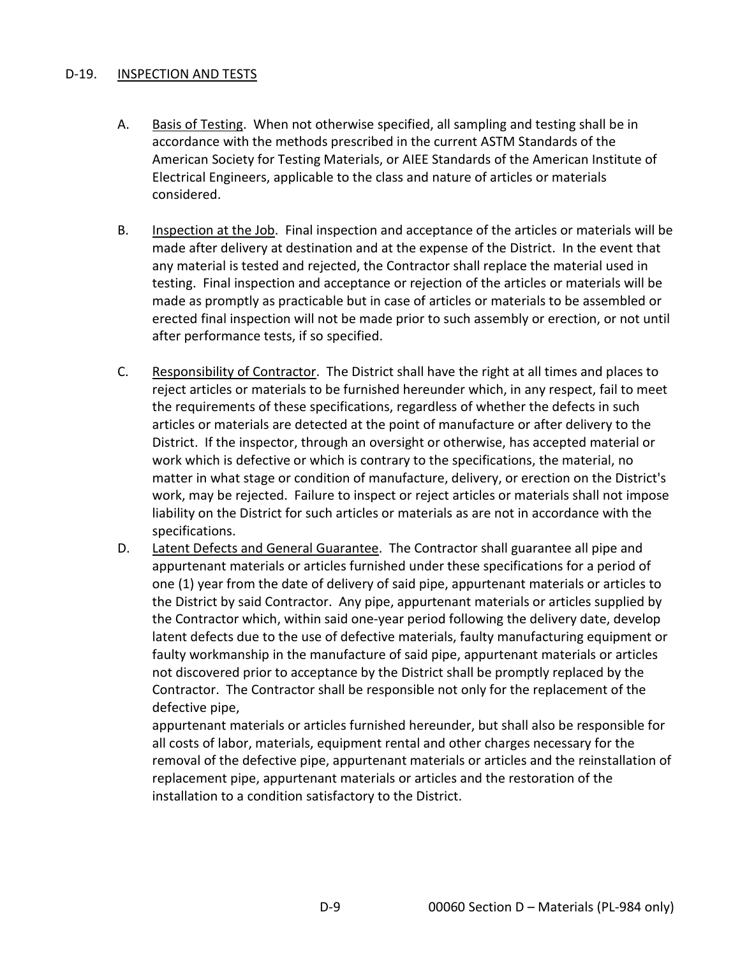#### <span id="page-10-0"></span>D-19. INSPECTION AND TESTS

- A. Basis of Testing. When not otherwise specified, all sampling and testing shall be in accordance with the methods prescribed in the current ASTM Standards of the American Society for Testing Materials, or AIEE Standards of the American Institute of Electrical Engineers, applicable to the class and nature of articles or materials considered.
- B. Inspection at the Job. Final inspection and acceptance of the articles or materials will be made after delivery at destination and at the expense of the District. In the event that any material is tested and rejected, the Contractor shall replace the material used in testing. Final inspection and acceptance or rejection of the articles or materials will be made as promptly as practicable but in case of articles or materials to be assembled or erected final inspection will not be made prior to such assembly or erection, or not until after performance tests, if so specified.
- C. Responsibility of Contractor. The District shall have the right at all times and places to reject articles or materials to be furnished hereunder which, in any respect, fail to meet the requirements of these specifications, regardless of whether the defects in such articles or materials are detected at the point of manufacture or after delivery to the District. If the inspector, through an oversight or otherwise, has accepted material or work which is defective or which is contrary to the specifications, the material, no matter in what stage or condition of manufacture, delivery, or erection on the District's work, may be rejected. Failure to inspect or reject articles or materials shall not impose liability on the District for such articles or materials as are not in accordance with the specifications.
- D. Latent Defects and General Guarantee. The Contractor shall guarantee all pipe and appurtenant materials or articles furnished under these specifications for a period of one (1) year from the date of delivery of said pipe, appurtenant materials or articles to the District by said Contractor. Any pipe, appurtenant materials or articles supplied by the Contractor which, within said one-year period following the delivery date, develop latent defects due to the use of defective materials, faulty manufacturing equipment or faulty workmanship in the manufacture of said pipe, appurtenant materials or articles not discovered prior to acceptance by the District shall be promptly replaced by the Contractor. The Contractor shall be responsible not only for the replacement of the defective pipe,

appurtenant materials or articles furnished hereunder, but shall also be responsible for all costs of labor, materials, equipment rental and other charges necessary for the removal of the defective pipe, appurtenant materials or articles and the reinstallation of replacement pipe, appurtenant materials or articles and the restoration of the installation to a condition satisfactory to the District.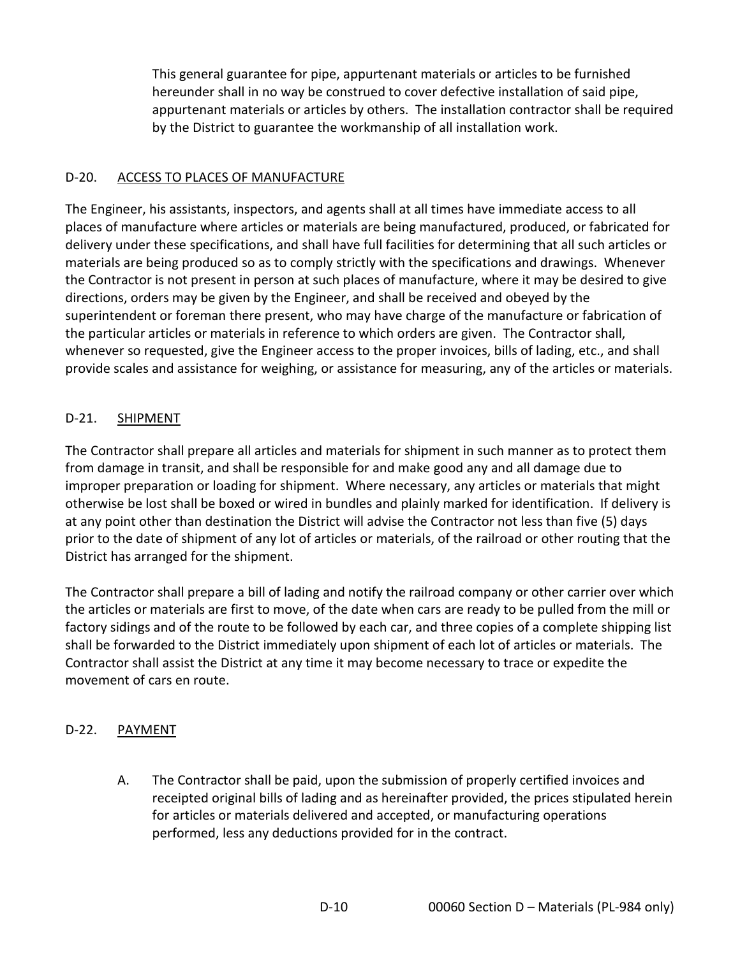This general guarantee for pipe, appurtenant materials or articles to be furnished hereunder shall in no way be construed to cover defective installation of said pipe, appurtenant materials or articles by others. The installation contractor shall be required by the District to guarantee the workmanship of all installation work.

#### <span id="page-11-0"></span>D-20. ACCESS TO PLACES OF MANUFACTURE

The Engineer, his assistants, inspectors, and agents shall at all times have immediate access to all places of manufacture where articles or materials are being manufactured, produced, or fabricated for delivery under these specifications, and shall have full facilities for determining that all such articles or materials are being produced so as to comply strictly with the specifications and drawings. Whenever the Contractor is not present in person at such places of manufacture, where it may be desired to give directions, orders may be given by the Engineer, and shall be received and obeyed by the superintendent or foreman there present, who may have charge of the manufacture or fabrication of the particular articles or materials in reference to which orders are given. The Contractor shall, whenever so requested, give the Engineer access to the proper invoices, bills of lading, etc., and shall provide scales and assistance for weighing, or assistance for measuring, any of the articles or materials.

# <span id="page-11-1"></span>D-21. SHIPMENT

The Contractor shall prepare all articles and materials for shipment in such manner as to protect them from damage in transit, and shall be responsible for and make good any and all damage due to improper preparation or loading for shipment. Where necessary, any articles or materials that might otherwise be lost shall be boxed or wired in bundles and plainly marked for identification. If delivery is at any point other than destination the District will advise the Contractor not less than five (5) days prior to the date of shipment of any lot of articles or materials, of the railroad or other routing that the District has arranged for the shipment.

The Contractor shall prepare a bill of lading and notify the railroad company or other carrier over which the articles or materials are first to move, of the date when cars are ready to be pulled from the mill or factory sidings and of the route to be followed by each car, and three copies of a complete shipping list shall be forwarded to the District immediately upon shipment of each lot of articles or materials. The Contractor shall assist the District at any time it may become necessary to trace or expedite the movement of cars en route.

#### <span id="page-11-2"></span>D-22. PAYMENT

A. The Contractor shall be paid, upon the submission of properly certified invoices and receipted original bills of lading and as hereinafter provided, the prices stipulated herein for articles or materials delivered and accepted, or manufacturing operations performed, less any deductions provided for in the contract.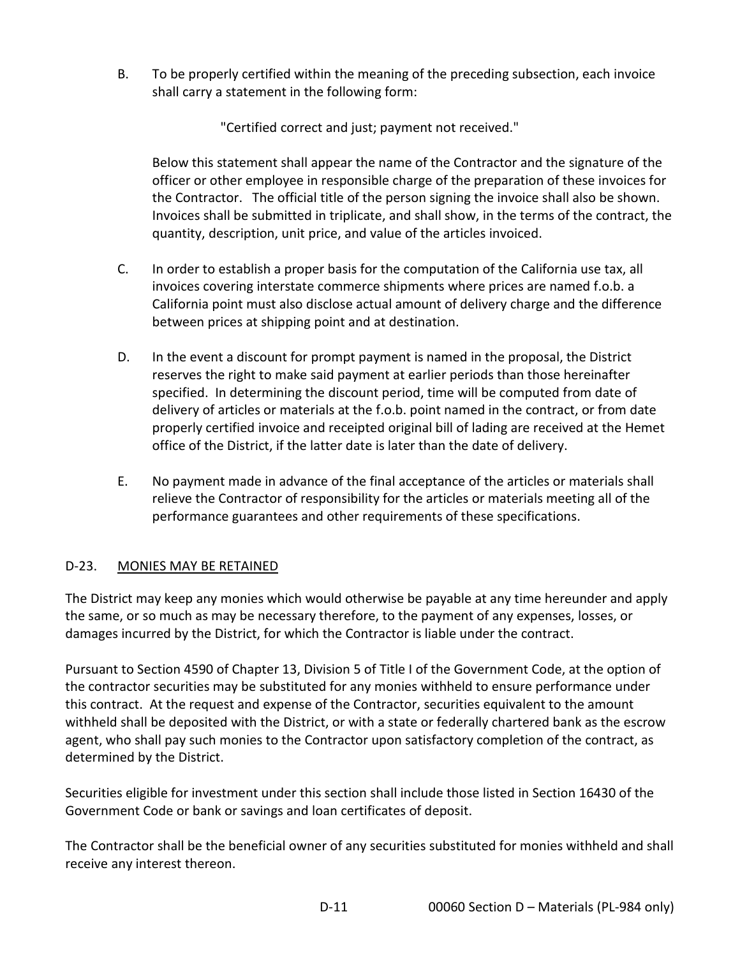B. To be properly certified within the meaning of the preceding subsection, each invoice shall carry a statement in the following form:

"Certified correct and just; payment not received."

Below this statement shall appear the name of the Contractor and the signature of the officer or other employee in responsible charge of the preparation of these invoices for the Contractor. The official title of the person signing the invoice shall also be shown. Invoices shall be submitted in triplicate, and shall show, in the terms of the contract, the quantity, description, unit price, and value of the articles invoiced.

- C. In order to establish a proper basis for the computation of the California use tax, all invoices covering interstate commerce shipments where prices are named f.o.b. a California point must also disclose actual amount of delivery charge and the difference between prices at shipping point and at destination.
- D. In the event a discount for prompt payment is named in the proposal, the District reserves the right to make said payment at earlier periods than those hereinafter specified. In determining the discount period, time will be computed from date of delivery of articles or materials at the f.o.b. point named in the contract, or from date properly certified invoice and receipted original bill of lading are received at the Hemet office of the District, if the latter date is later than the date of delivery.
- E. No payment made in advance of the final acceptance of the articles or materials shall relieve the Contractor of responsibility for the articles or materials meeting all of the performance guarantees and other requirements of these specifications.

# <span id="page-12-0"></span>D-23. MONIES MAY BE RETAINED

The District may keep any monies which would otherwise be payable at any time hereunder and apply the same, or so much as may be necessary therefore, to the payment of any expenses, losses, or damages incurred by the District, for which the Contractor is liable under the contract.

Pursuant to Section 4590 of Chapter 13, Division 5 of Title I of the Government Code, at the option of the contractor securities may be substituted for any monies withheld to ensure performance under this contract. At the request and expense of the Contractor, securities equivalent to the amount withheld shall be deposited with the District, or with a state or federally chartered bank as the escrow agent, who shall pay such monies to the Contractor upon satisfactory completion of the contract, as determined by the District.

Securities eligible for investment under this section shall include those listed in Section 16430 of the Government Code or bank or savings and loan certificates of deposit.

The Contractor shall be the beneficial owner of any securities substituted for monies withheld and shall receive any interest thereon.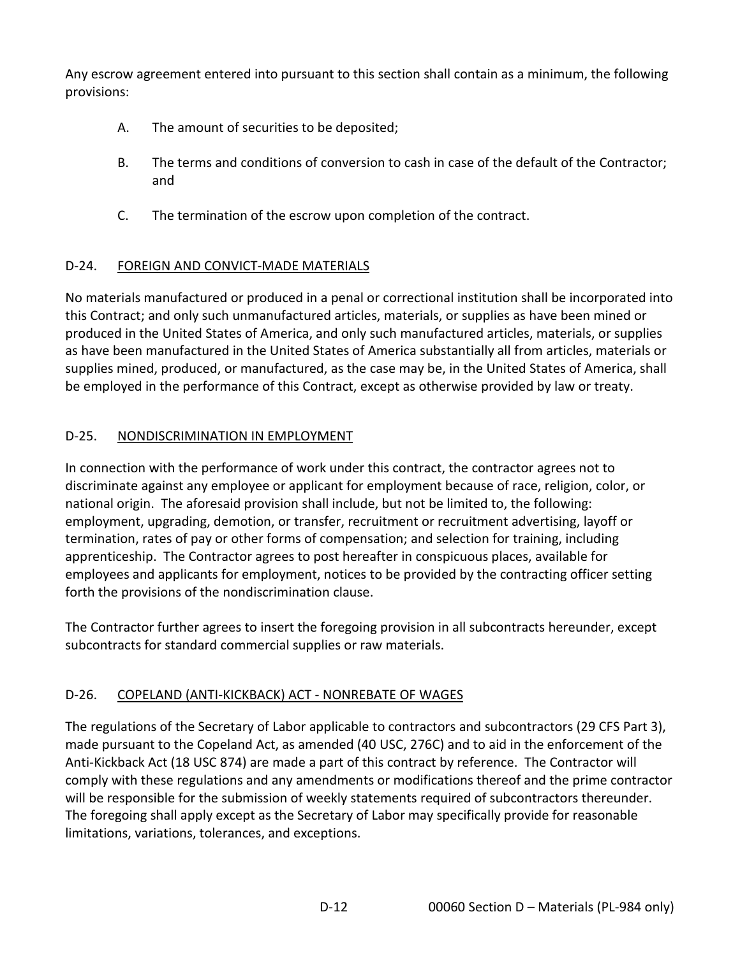Any escrow agreement entered into pursuant to this section shall contain as a minimum, the following provisions:

- A. The amount of securities to be deposited;
- B. The terms and conditions of conversion to cash in case of the default of the Contractor; and
- C. The termination of the escrow upon completion of the contract.

# <span id="page-13-0"></span>D-24. FOREIGN AND CONVICT-MADE MATERIALS

No materials manufactured or produced in a penal or correctional institution shall be incorporated into this Contract; and only such unmanufactured articles, materials, or supplies as have been mined or produced in the United States of America, and only such manufactured articles, materials, or supplies as have been manufactured in the United States of America substantially all from articles, materials or supplies mined, produced, or manufactured, as the case may be, in the United States of America, shall be employed in the performance of this Contract, except as otherwise provided by law or treaty.

# <span id="page-13-1"></span>D-25. NONDISCRIMINATION IN EMPLOYMENT

In connection with the performance of work under this contract, the contractor agrees not to discriminate against any employee or applicant for employment because of race, religion, color, or national origin. The aforesaid provision shall include, but not be limited to, the following: employment, upgrading, demotion, or transfer, recruitment or recruitment advertising, layoff or termination, rates of pay or other forms of compensation; and selection for training, including apprenticeship. The Contractor agrees to post hereafter in conspicuous places, available for employees and applicants for employment, notices to be provided by the contracting officer setting forth the provisions of the nondiscrimination clause.

The Contractor further agrees to insert the foregoing provision in all subcontracts hereunder, except subcontracts for standard commercial supplies or raw materials.

#### <span id="page-13-2"></span>D-26. COPELAND (ANTI-KICKBACK) ACT - NONREBATE OF WAGES

The regulations of the Secretary of Labor applicable to contractors and subcontractors (29 CFS Part 3), made pursuant to the Copeland Act, as amended (40 USC, 276C) and to aid in the enforcement of the Anti-Kickback Act (18 USC 874) are made a part of this contract by reference. The Contractor will comply with these regulations and any amendments or modifications thereof and the prime contractor will be responsible for the submission of weekly statements required of subcontractors thereunder. The foregoing shall apply except as the Secretary of Labor may specifically provide for reasonable limitations, variations, tolerances, and exceptions.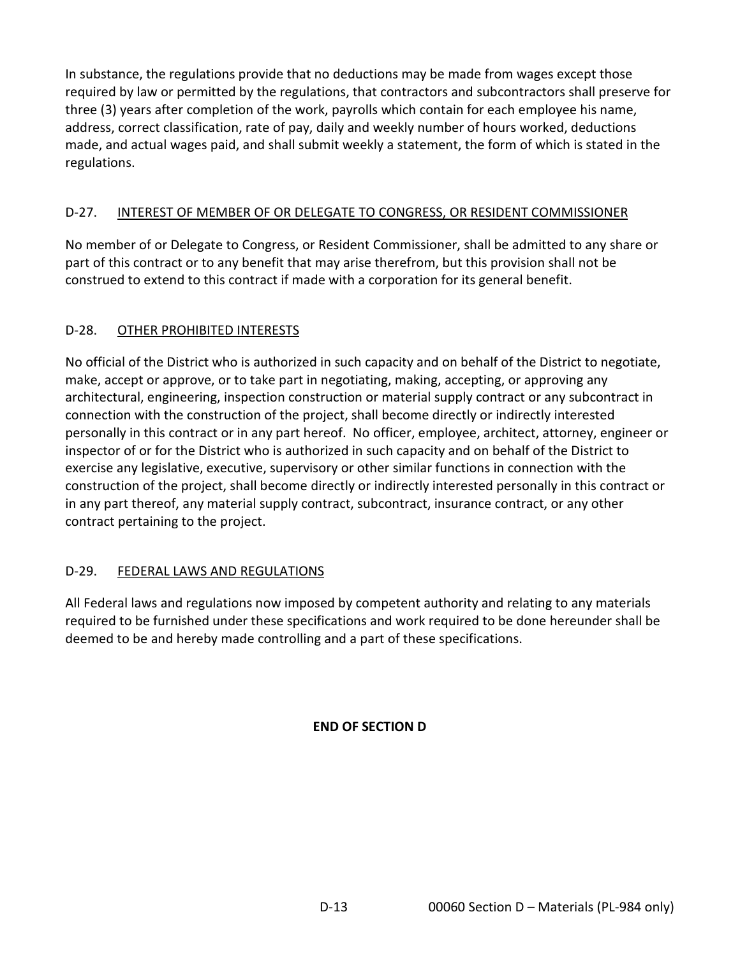In substance, the regulations provide that no deductions may be made from wages except those required by law or permitted by the regulations, that contractors and subcontractors shall preserve for three (3) years after completion of the work, payrolls which contain for each employee his name, address, correct classification, rate of pay, daily and weekly number of hours worked, deductions made, and actual wages paid, and shall submit weekly a statement, the form of which is stated in the regulations.

## <span id="page-14-0"></span>D-27. INTEREST OF MEMBER OF OR DELEGATE TO CONGRESS, OR RESIDENT COMMISSIONER

No member of or Delegate to Congress, or Resident Commissioner, shall be admitted to any share or part of this contract or to any benefit that may arise therefrom, but this provision shall not be construed to extend to this contract if made with a corporation for its general benefit.

# <span id="page-14-1"></span>D-28. OTHER PROHIBITED INTERESTS

No official of the District who is authorized in such capacity and on behalf of the District to negotiate, make, accept or approve, or to take part in negotiating, making, accepting, or approving any architectural, engineering, inspection construction or material supply contract or any subcontract in connection with the construction of the project, shall become directly or indirectly interested personally in this contract or in any part hereof. No officer, employee, architect, attorney, engineer or inspector of or for the District who is authorized in such capacity and on behalf of the District to exercise any legislative, executive, supervisory or other similar functions in connection with the construction of the project, shall become directly or indirectly interested personally in this contract or in any part thereof, any material supply contract, subcontract, insurance contract, or any other contract pertaining to the project.

#### <span id="page-14-2"></span>D-29. FEDERAL LAWS AND REGULATIONS

All Federal laws and regulations now imposed by competent authority and relating to any materials required to be furnished under these specifications and work required to be done hereunder shall be deemed to be and hereby made controlling and a part of these specifications.

#### **END OF SECTION D**